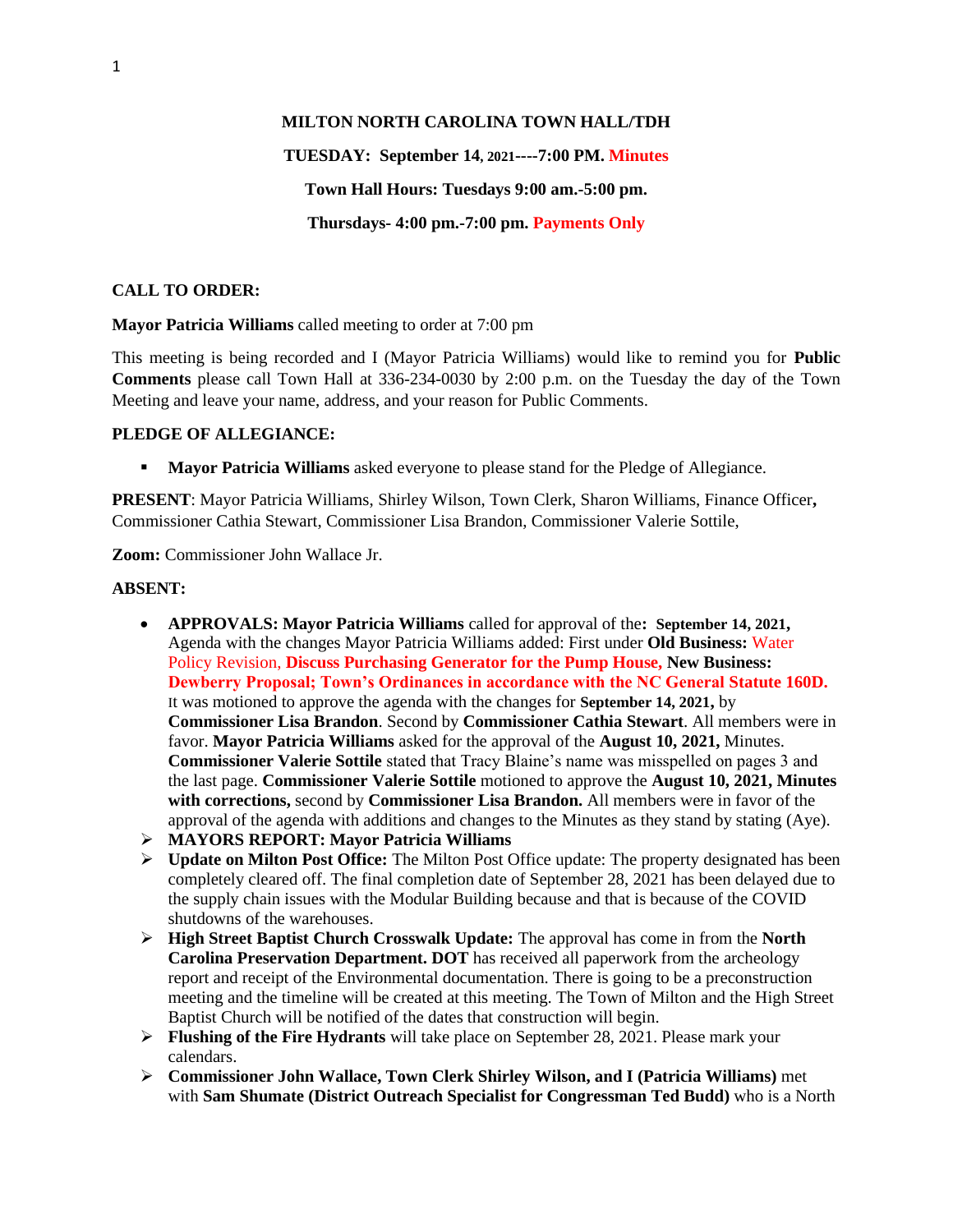#### **MILTON NORTH CAROLINA TOWN HALL/TDH**

# **TUESDAY: September 14, 2021----7:00 PM. Minutes Town Hall Hours: Tuesdays 9:00 am.-5:00 pm. Thursdays- 4:00 pm.-7:00 pm. Payments Only**

## **CALL TO ORDER:**

**Mayor Patricia Williams** called meeting to order at 7:00 pm

This meeting is being recorded and I (Mayor Patricia Williams) would like to remind you for **Public Comments** please call Town Hall at 336-234-0030 by 2:00 p.m. on the Tuesday the day of the Town Meeting and leave your name, address, and your reason for Public Comments.

#### **PLEDGE OF ALLEGIANCE:**

**• Mayor Patricia Williams** asked everyone to please stand for the Pledge of Allegiance.

**PRESENT**: Mayor Patricia Williams, Shirley Wilson, Town Clerk, Sharon Williams, Finance Officer**,**  Commissioner Cathia Stewart, Commissioner Lisa Brandon, Commissioner Valerie Sottile,

**Zoom:** Commissioner John Wallace Jr.

## **ABSENT:**

- **APPROVALS: Mayor Patricia Williams** called for approval of the**: September 14, 2021,**  Agenda with the changes Mayor Patricia Williams added: First under **Old Business:** Water Policy Revision, **Discuss Purchasing Generator for the Pump House, New Business: Dewberry Proposal; Town's Ordinances in accordance with the NC General Statute 160D.** It was motioned to approve the agenda with the changes for **September 14, 2021,** by **Commissioner Lisa Brandon**. Second by **Commissioner Cathia Stewart**. All members were in favor. **Mayor Patricia Williams** asked for the approval of the **August 10, 2021,** Minutes. **Commissioner Valerie Sottile** stated that Tracy Blaine's name was misspelled on pages 3 and the last page. **Commissioner Valerie Sottile** motioned to approve the **August 10, 2021, Minutes with corrections,** second by **Commissioner Lisa Brandon.** All members were in favor of the approval of the agenda with additions and changes to the Minutes as they stand by stating (Aye).
- ➢ **MAYORS REPORT: Mayor Patricia Williams**
- ➢ **Update on Milton Post Office:** The Milton Post Office update: The property designated has been completely cleared off. The final completion date of September 28, 2021 has been delayed due to the supply chain issues with the Modular Building because and that is because of the COVID shutdowns of the warehouses.
- ➢ **High Street Baptist Church Crosswalk Update:** The approval has come in from the **North Carolina Preservation Department. DOT** has received all paperwork from the archeology report and receipt of the Environmental documentation. There is going to be a preconstruction meeting and the timeline will be created at this meeting. The Town of Milton and the High Street Baptist Church will be notified of the dates that construction will begin.
- ➢ **Flushing of the Fire Hydrants** will take place on September 28, 2021. Please mark your calendars.
- ➢ **Commissioner John Wallace, Town Clerk Shirley Wilson, and I (Patricia Williams)** met with **Sam Shumate (District Outreach Specialist for Congressman Ted Budd)** who is a North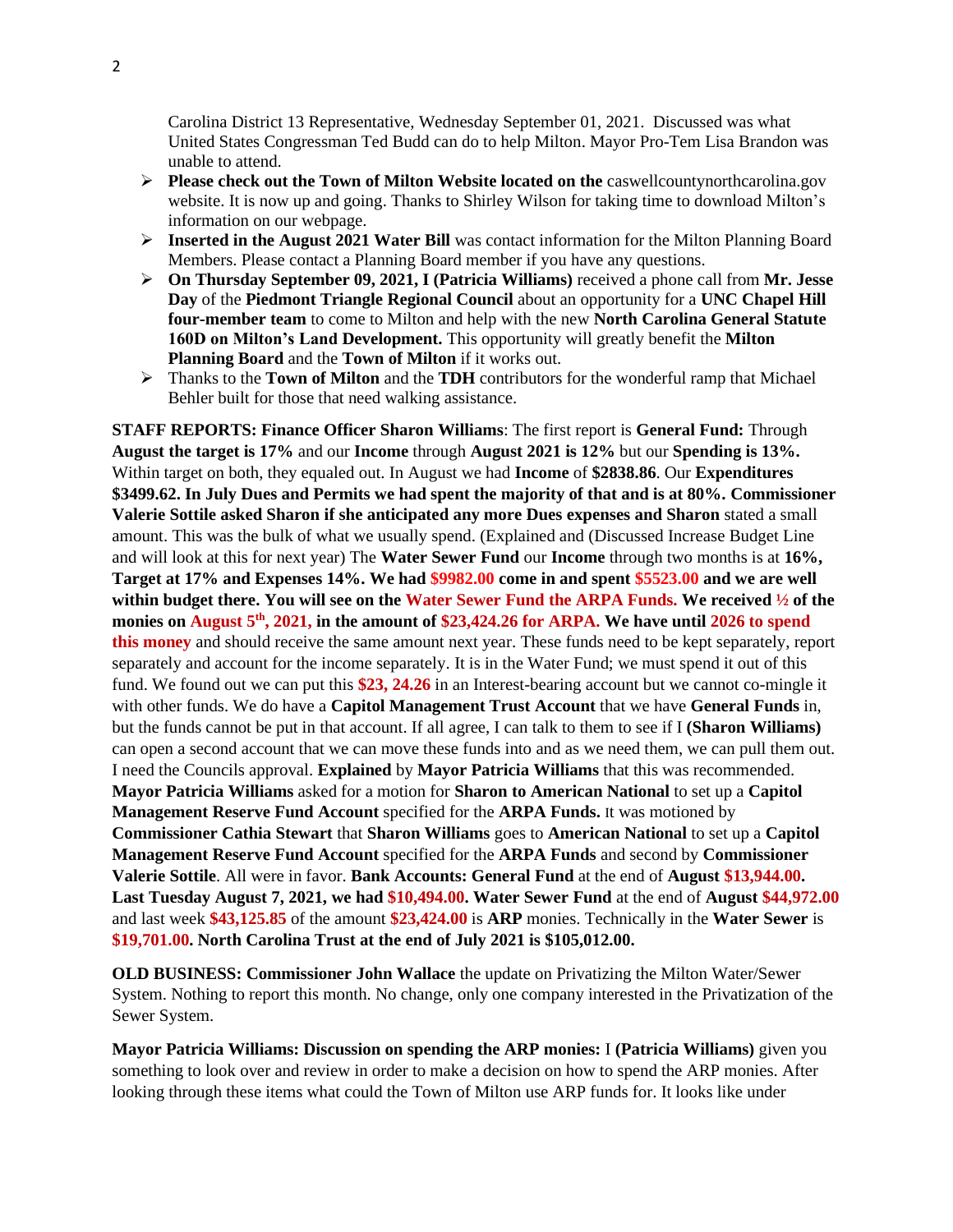Carolina District 13 Representative, Wednesday September 01, 2021. Discussed was what United States Congressman Ted Budd can do to help Milton. Mayor Pro-Tem Lisa Brandon was unable to attend.

- ➢ **Please check out the Town of Milton Website located on the** caswellcountynorthcarolina.gov website. It is now up and going. Thanks to Shirley Wilson for taking time to download Milton's information on our webpage.
- ➢ **Inserted in the August 2021 Water Bill** was contact information for the Milton Planning Board Members. Please contact a Planning Board member if you have any questions.
- ➢ **On Thursday September 09, 2021, I (Patricia Williams)** received a phone call from **Mr. Jesse Day** of the **Piedmont Triangle Regional Council** about an opportunity for a **UNC Chapel Hill four-member team** to come to Milton and help with the new **North Carolina General Statute 160D on Milton's Land Development.** This opportunity will greatly benefit the **Milton Planning Board** and the **Town of Milton** if it works out.
- ➢ Thanks to the **Town of Milton** and the **TDH** contributors for the wonderful ramp that Michael Behler built for those that need walking assistance.

**STAFF REPORTS: Finance Officer Sharon Williams**: The first report is **General Fund:** Through **August the target is 17%** and our **Income** through **August 2021 is 12%** but our **Spending is 13%.** Within target on both, they equaled out. In August we had **Income** of **\$2838.86**. Our **Expenditures \$3499.62. In July Dues and Permits we had spent the majority of that and is at 80%. Commissioner Valerie Sottile asked Sharon if she anticipated any more Dues expenses and Sharon** stated a small amount. This was the bulk of what we usually spend. (Explained and (Discussed Increase Budget Line and will look at this for next year) The **Water Sewer Fund** our **Income** through two months is at **16%, Target at 17% and Expenses 14%. We had \$9982.00 come in and spent \$5523.00 and we are well within budget there. You will see on the Water Sewer Fund the ARPA Funds. We received ½ of the monies on August 5th, 2021, in the amount of \$23,424.26 for ARPA. We have until 2026 to spend this money** and should receive the same amount next year. These funds need to be kept separately, report separately and account for the income separately. It is in the Water Fund; we must spend it out of this fund. We found out we can put this **\$23, 24.26** in an Interest-bearing account but we cannot co-mingle it with other funds. We do have a **Capitol Management Trust Account** that we have **General Funds** in, but the funds cannot be put in that account. If all agree, I can talk to them to see if I **(Sharon Williams)**  can open a second account that we can move these funds into and as we need them, we can pull them out. I need the Councils approval. **Explained** by **Mayor Patricia Williams** that this was recommended. **Mayor Patricia Williams** asked for a motion for **Sharon to American National** to set up a **Capitol Management Reserve Fund Account** specified for the **ARPA Funds.** It was motioned by **Commissioner Cathia Stewart** that **Sharon Williams** goes to **American National** to set up a **Capitol Management Reserve Fund Account** specified for the **ARPA Funds** and second by **Commissioner Valerie Sottile**. All were in favor. **Bank Accounts: General Fund** at the end of **August \$13,944.00. Last Tuesday August 7, 2021, we had \$10,494.00. Water Sewer Fund** at the end of **August \$44,972.00**  and last week **\$43,125.85** of the amount **\$23,424.00** is **ARP** monies. Technically in the **Water Sewer** is **\$19,701.00. North Carolina Trust at the end of July 2021 is \$105,012.00.**

**OLD BUSINESS: Commissioner John Wallace** the update on Privatizing the Milton Water/Sewer System. Nothing to report this month. No change, only one company interested in the Privatization of the Sewer System.

**Mayor Patricia Williams: Discussion on spending the ARP monies:** I **(Patricia Williams)** given you something to look over and review in order to make a decision on how to spend the ARP monies. After looking through these items what could the Town of Milton use ARP funds for. It looks like under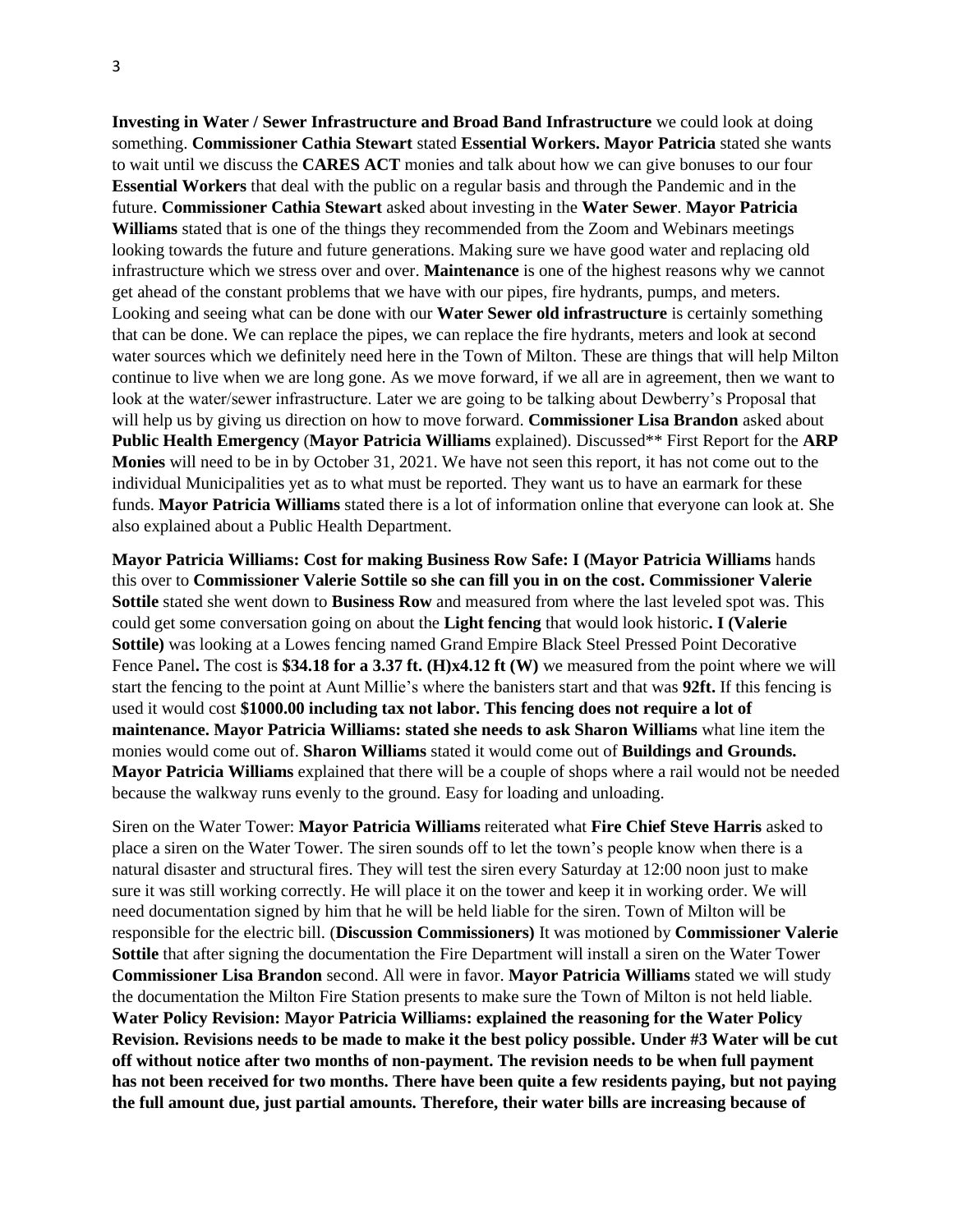**Investing in Water / Sewer Infrastructure and Broad Band Infrastructure** we could look at doing something. **Commissioner Cathia Stewart** stated **Essential Workers. Mayor Patricia** stated she wants to wait until we discuss the **CARES ACT** monies and talk about how we can give bonuses to our four **Essential Workers** that deal with the public on a regular basis and through the Pandemic and in the future. **Commissioner Cathia Stewart** asked about investing in the **Water Sewer**. **Mayor Patricia Williams** stated that is one of the things they recommended from the Zoom and Webinars meetings looking towards the future and future generations. Making sure we have good water and replacing old infrastructure which we stress over and over. **Maintenance** is one of the highest reasons why we cannot get ahead of the constant problems that we have with our pipes, fire hydrants, pumps, and meters. Looking and seeing what can be done with our **Water Sewer old infrastructure** is certainly something that can be done. We can replace the pipes, we can replace the fire hydrants, meters and look at second water sources which we definitely need here in the Town of Milton. These are things that will help Milton continue to live when we are long gone. As we move forward, if we all are in agreement, then we want to look at the water/sewer infrastructure. Later we are going to be talking about Dewberry's Proposal that will help us by giving us direction on how to move forward. **Commissioner Lisa Brandon** asked about **Public Health Emergency** (**Mayor Patricia Williams** explained). Discussed\*\* First Report for the **ARP Monies** will need to be in by October 31, 2021. We have not seen this report, it has not come out to the individual Municipalities yet as to what must be reported. They want us to have an earmark for these funds. **Mayor Patricia Williams** stated there is a lot of information online that everyone can look at. She also explained about a Public Health Department.

**Mayor Patricia Williams: Cost for making Business Row Safe: I (Mayor Patricia Williams** hands this over to **Commissioner Valerie Sottile so she can fill you in on the cost. Commissioner Valerie Sottile** stated she went down to **Business Row** and measured from where the last leveled spot was. This could get some conversation going on about the **Light fencing** that would look historic**. I (Valerie Sottile)** was looking at a Lowes fencing named Grand Empire Black Steel Pressed Point Decorative Fence Panel. The cost is \$34.18 for a 3.37 ft. (H)x4.12 ft (W) we measured from the point where we will start the fencing to the point at Aunt Millie's where the banisters start and that was **92ft.** If this fencing is used it would cost **\$1000.00 including tax not labor. This fencing does not require a lot of maintenance. Mayor Patricia Williams: stated she needs to ask Sharon Williams** what line item the monies would come out of. **Sharon Williams** stated it would come out of **Buildings and Grounds. Mayor Patricia Williams** explained that there will be a couple of shops where a rail would not be needed because the walkway runs evenly to the ground. Easy for loading and unloading.

Siren on the Water Tower: **Mayor Patricia Williams** reiterated what **Fire Chief Steve Harris** asked to place a siren on the Water Tower. The siren sounds off to let the town's people know when there is a natural disaster and structural fires. They will test the siren every Saturday at 12:00 noon just to make sure it was still working correctly. He will place it on the tower and keep it in working order. We will need documentation signed by him that he will be held liable for the siren. Town of Milton will be responsible for the electric bill. (**Discussion Commissioners)** It was motioned by **Commissioner Valerie Sottile** that after signing the documentation the Fire Department will install a siren on the Water Tower **Commissioner Lisa Brandon** second. All were in favor. **Mayor Patricia Williams** stated we will study the documentation the Milton Fire Station presents to make sure the Town of Milton is not held liable. **Water Policy Revision: Mayor Patricia Williams: explained the reasoning for the Water Policy Revision. Revisions needs to be made to make it the best policy possible. Under #3 Water will be cut off without notice after two months of non-payment. The revision needs to be when full payment has not been received for two months. There have been quite a few residents paying, but not paying the full amount due, just partial amounts. Therefore, their water bills are increasing because of**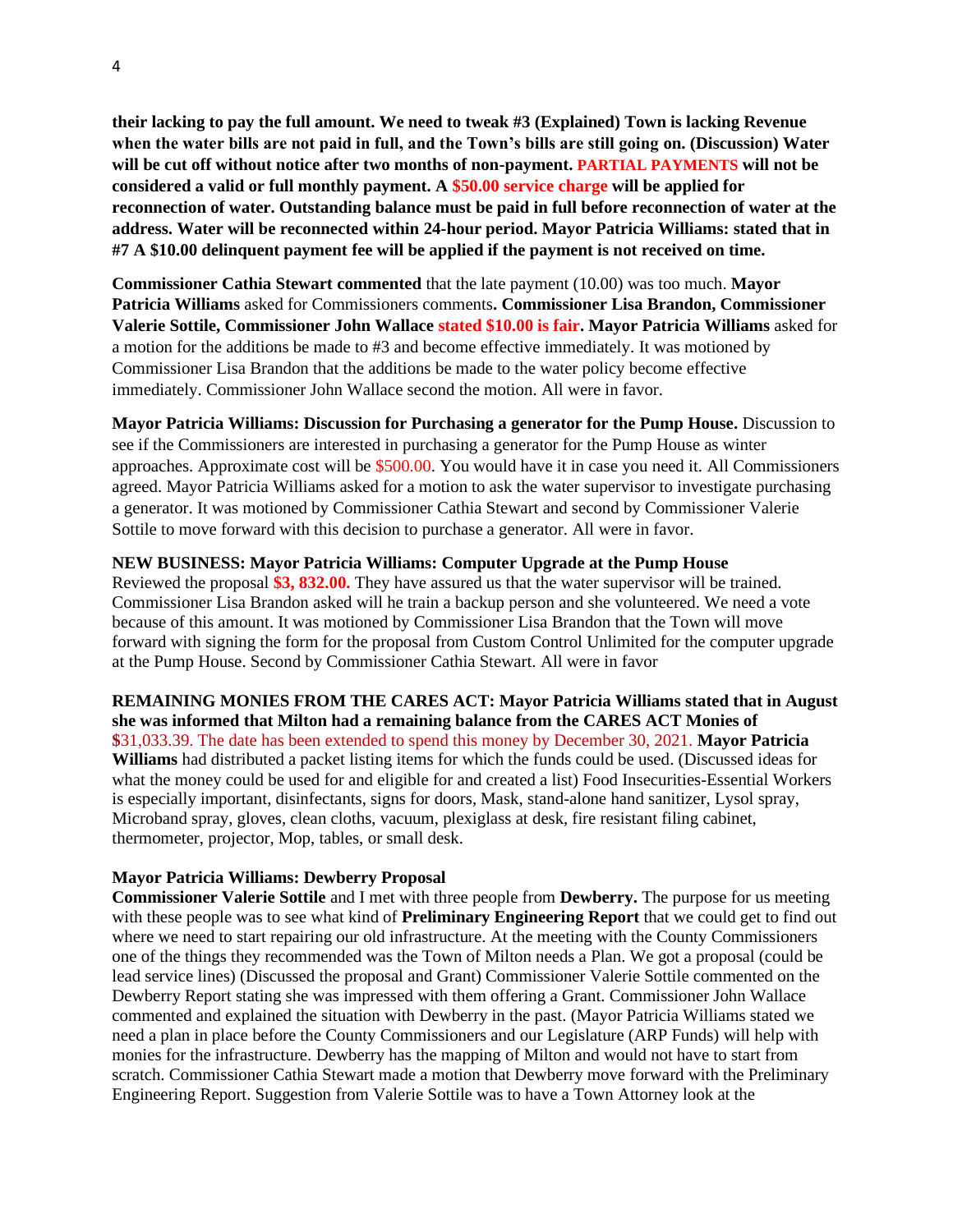**their lacking to pay the full amount. We need to tweak #3 (Explained) Town is lacking Revenue when the water bills are not paid in full, and the Town's bills are still going on. (Discussion) Water will be cut off without notice after two months of non-payment. PARTIAL PAYMENTS will not be considered a valid or full monthly payment. A \$50.00 service charge will be applied for reconnection of water. Outstanding balance must be paid in full before reconnection of water at the address. Water will be reconnected within 24-hour period. Mayor Patricia Williams: stated that in #7 A \$10.00 delinquent payment fee will be applied if the payment is not received on time.** 

**Commissioner Cathia Stewart commented** that the late payment (10.00) was too much. **Mayor Patricia Williams** asked for Commissioners comments**. Commissioner Lisa Brandon, Commissioner Valerie Sottile, Commissioner John Wallace stated \$10.00 is fair. Mayor Patricia Williams** asked for a motion for the additions be made to #3 and become effective immediately. It was motioned by Commissioner Lisa Brandon that the additions be made to the water policy become effective immediately. Commissioner John Wallace second the motion. All were in favor.

**Mayor Patricia Williams: Discussion for Purchasing a generator for the Pump House.** Discussion to see if the Commissioners are interested in purchasing a generator for the Pump House as winter approaches. Approximate cost will be \$500.00. You would have it in case you need it. All Commissioners agreed. Mayor Patricia Williams asked for a motion to ask the water supervisor to investigate purchasing a generator. It was motioned by Commissioner Cathia Stewart and second by Commissioner Valerie Sottile to move forward with this decision to purchase a generator. All were in favor.

#### **NEW BUSINESS: Mayor Patricia Williams: Computer Upgrade at the Pump House**

Reviewed the proposal **\$3, 832.00.** They have assured us that the water supervisor will be trained. Commissioner Lisa Brandon asked will he train a backup person and she volunteered. We need a vote because of this amount. It was motioned by Commissioner Lisa Brandon that the Town will move forward with signing the form for the proposal from Custom Control Unlimited for the computer upgrade at the Pump House. Second by Commissioner Cathia Stewart. All were in favor

**REMAINING MONIES FROM THE CARES ACT: Mayor Patricia Williams stated that in August she was informed that Milton had a remaining balance from the CARES ACT Monies of \$**31,033.39. The date has been extended to spend this money by December 30, 2021. **Mayor Patricia Williams** had distributed a packet listing items for which the funds could be used. (Discussed ideas for what the money could be used for and eligible for and created a list) Food Insecurities-Essential Workers is especially important, disinfectants, signs for doors, Mask, stand-alone hand sanitizer, Lysol spray, Microband spray, gloves, clean cloths, vacuum, plexiglass at desk, fire resistant filing cabinet, thermometer, projector, Mop, tables, or small desk.

#### **Mayor Patricia Williams: Dewberry Proposal**

**Commissioner Valerie Sottile** and I met with three people from **Dewberry.** The purpose for us meeting with these people was to see what kind of **Preliminary Engineering Report** that we could get to find out where we need to start repairing our old infrastructure. At the meeting with the County Commissioners one of the things they recommended was the Town of Milton needs a Plan. We got a proposal (could be lead service lines) (Discussed the proposal and Grant) Commissioner Valerie Sottile commented on the Dewberry Report stating she was impressed with them offering a Grant. Commissioner John Wallace commented and explained the situation with Dewberry in the past. (Mayor Patricia Williams stated we need a plan in place before the County Commissioners and our Legislature (ARP Funds) will help with monies for the infrastructure. Dewberry has the mapping of Milton and would not have to start from scratch. Commissioner Cathia Stewart made a motion that Dewberry move forward with the Preliminary Engineering Report. Suggestion from Valerie Sottile was to have a Town Attorney look at the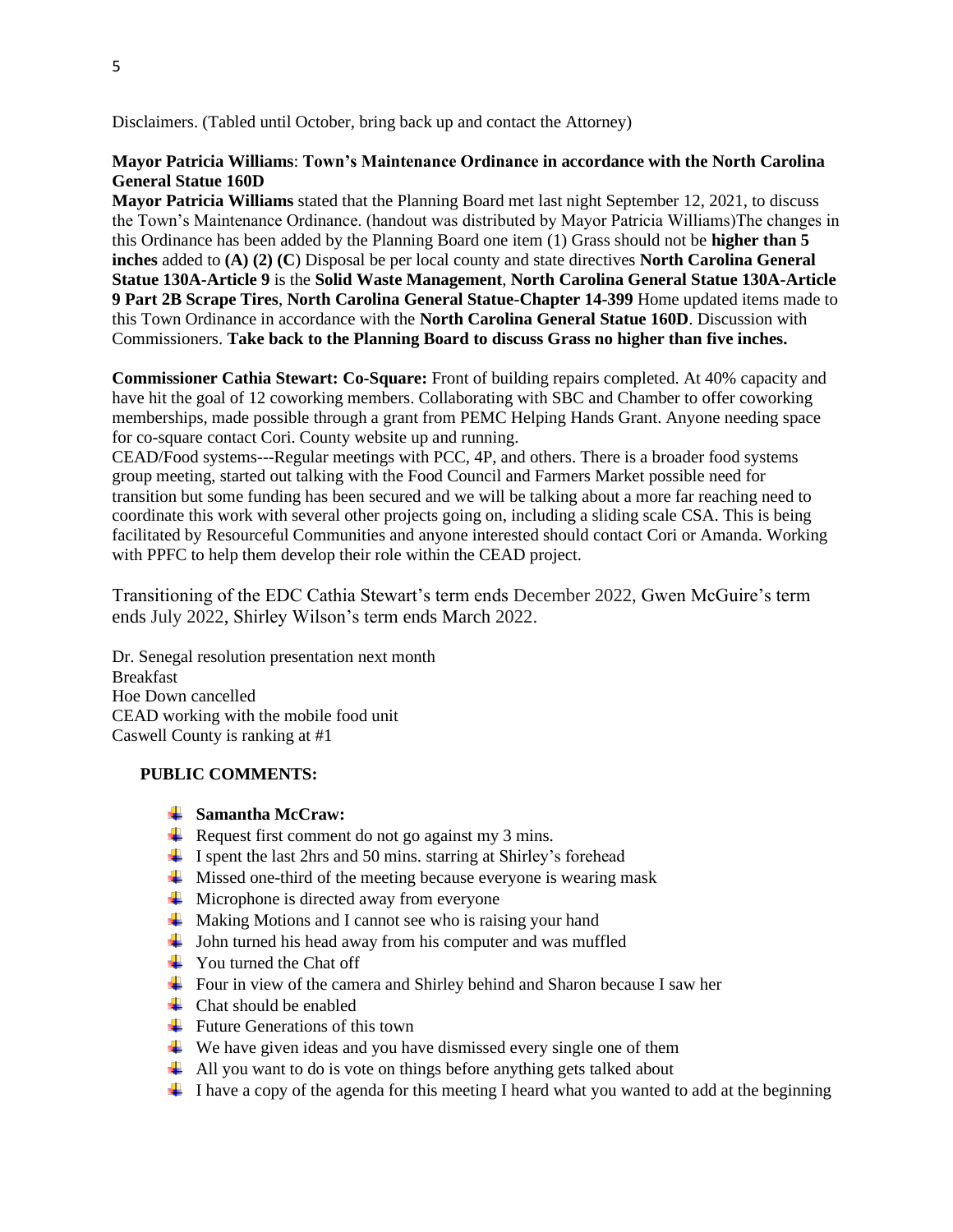Disclaimers. (Tabled until October, bring back up and contact the Attorney)

## **Mayor Patricia Williams**: **Town's Maintenance Ordinance in accordance with the North Carolina General Statue 160D**

**Mayor Patricia Williams** stated that the Planning Board met last night September 12, 2021, to discuss the Town's Maintenance Ordinance. (handout was distributed by Mayor Patricia Williams)The changes in this Ordinance has been added by the Planning Board one item (1) Grass should not be **higher than 5 inches** added to **(A) (2) (C**) Disposal be per local county and state directives **North Carolina General Statue 130A-Article 9** is the **Solid Waste Management**, **North Carolina General Statue 130A-Article 9 Part 2B Scrape Tires**, **North Carolina General Statue-Chapter 14-399** Home updated items made to this Town Ordinance in accordance with the **North Carolina General Statue 160D**. Discussion with Commissioners. **Take back to the Planning Board to discuss Grass no higher than five inches.**

**Commissioner Cathia Stewart: Co-Square:** Front of building repairs completed. At 40% capacity and have hit the goal of 12 coworking members. Collaborating with SBC and Chamber to offer coworking memberships, made possible through a grant from PEMC Helping Hands Grant. Anyone needing space for co-square contact Cori. County website up and running.

CEAD/Food systems---Regular meetings with PCC, 4P, and others. There is a broader food systems group meeting, started out talking with the Food Council and Farmers Market possible need for transition but some funding has been secured and we will be talking about a more far reaching need to coordinate this work with several other projects going on, including a sliding scale CSA. This is being facilitated by Resourceful Communities and anyone interested should contact Cori or Amanda. Working with PPFC to help them develop their role within the CEAD project.

Transitioning of the EDC Cathia Stewart's term ends December 2022, Gwen McGuire's term ends July 2022, Shirley Wilson's term ends March 2022.

Dr. Senegal resolution presentation next month Breakfast Hoe Down cancelled CEAD working with the mobile food unit Caswell County is ranking at #1

# **PUBLIC COMMENTS:**

#### **Samantha McCraw:**

- $\overline{\phantom{a}}$  Request first comment do not go against my 3 mins.
- $\ddot{\textbf{I}}$  I spent the last 2hrs and 50 mins. starring at Shirley's forehead
- $\overline{\text{M}}$  Missed one-third of the meeting because everyone is wearing mask
- $\overline{\text{}}$  Microphone is directed away from everyone
- $\overline{\phantom{a}}$  Making Motions and I cannot see who is raising your hand
- $\overline{\phantom{a}}$  John turned his head away from his computer and was muffled
- $\overline{\text{4}}$  You turned the Chat off
- $\overline{\phantom{a}}$  Four in view of the camera and Shirley behind and Sharon because I saw her
- $\leftarrow$  Chat should be enabled
- $\ddot{\bullet}$  Future Generations of this town
- $\overline{\text{4}}$  We have given ideas and you have dismissed every single one of them
- $\overline{\phantom{a} \bullet}$  All you want to do is vote on things before anything gets talked about
- $\pm$  I have a copy of the agenda for this meeting I heard what you wanted to add at the beginning